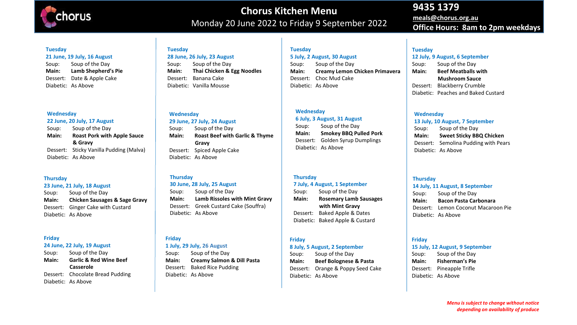

# **Chorus Kitchen Menu**  Monday 20 June 2022 to Friday 9 September 2022

# **9435 1379 [meals@chorus.org.au](mailto:meals@chorus.org.au) Office Hours: 8am to 2pm weekdays**

# **Tuesday**

**21 June, 19 July, 16 August** Soup: Soup of the Day **Main: Lamb Shepherd's Pie** Dessert: Date & Apple Cake Diabetic: As Above

#### **Wednesday**

# **22 June, 20 July, 17 August**

Soup: Soup of the Day **Main: Roast Pork with Apple Sauce & Gravy** Dessert: Sticky Vanilla Pudding (Malva) Diabetic: As Above

### **Thursday**

#### **23 June, 21 July, 18 August** Soup: Soup of the Day **Main: Chicken Sausages & Sage Gravy** Dessert: Ginger Cake with Custard

Diabetic: As Above

### **Friday**

#### **24 June, 22 July, 19 August**

Soup: Soup of the Day **Main: Garlic & Red Wine Beef Casserole** Dessert: Chocolate Bread Pudding

Diabetic: As Above

#### **Tuesday**

**28 June, 26 July, 23 August** Soup: Soup of the Day **Main: Thai Chicken & Egg Noodles** Dessert: Banana Cake Diabetic: Vanilla Mousse

# **Wednesday 29 June, 27 July, 24 August**

Soup: Soup of the Day **Main: Roast Beef with Garlic & Thyme Gravy** Dessert: Spiced Apple Cake Diabetic: As Above

#### **Thursday**

#### **30 June, 28 July, 25 August**

Soup: Soup of the Day **Main: Lamb Rissoles with Mint Gravy** Dessert: Greek Custard Cake (Souffra) Diabetic: As Above

# **Friday**

# **1 July, 29 July, 26 August**

Soup: Soup of the Day **Main: Creamy Salmon & Dill Pasta** Dessert: Baked Rice Pudding Diabetic: As Above

# **Tuesday**

**5 July, 2 August, 30 August** Soup: Soup of the Day **Main: Creamy Lemon Chicken Primavera** Dessert: Choc Mud Cake Diabetic: As Above

# **Wednesday**

**6 July, 3 August, 31 August** Soup: Soup of the Day **Main: Smokey BBQ Pulled Pork** Dessert: Golden Syrup Dumplings Diabetic: As Above

#### **Thursday**

## **7 July, 4 August, 1 September** Soup: Soup of the Day **Main: Rosemary Lamb Sausages with Mint Gravy** Dessert: Baked Apple & Dates Diabetic: Baked Apple & Custard

# **Friday**

#### **8 July, 5 August, 2 September** Soup: Soup of the Day

**Main: Beef Bolognese & Pasta** Dessert: Orange & Poppy Seed Cake Diabetic: As Above

### **Tuesday**

#### **12 July, 9 August, 6 September**

Soup: Soup of the Day **Main: Beef Meatballs with Mushroom Sauce** Dessert: Blackberry Crumble Diabetic: Peaches and Baked Custard

#### **Wednesday**

# **13 July, 10 August, 7 September**

Soup: Soup of the Day **Main: Sweet Sticky BBQ Chicken** Dessert: Semolina Pudding with Pears Diabetic: As Above

## **Thursday**

# **14 July, 11 August, 8 September**

Soup: Soup of the Day **Main: Bacon Pasta Carbonara** Dessert: Lemon Coconut Macaroon Pie Diabetic: As Above

## **Friday**

#### **15 July, 12 August, 9 September**

Soup: Soup of the Day **Main: Fisherman's Pie** Dessert: Pineapple Trifle Diabetic: As Above